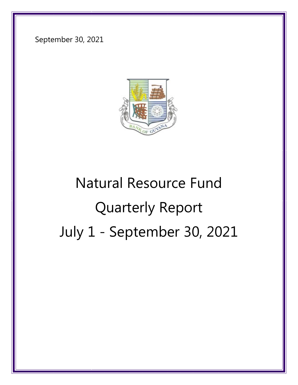September 30, 2021



# Natural Resource Fund Quarterly Report July 1 - September 30, 2021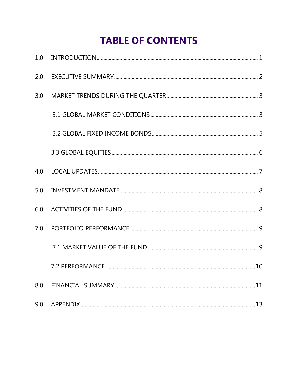## **TABLE OF CONTENTS**

| 2.0 |     |
|-----|-----|
| 3.0 |     |
|     |     |
|     |     |
|     |     |
| 4.0 |     |
| 5.0 |     |
| 6.0 |     |
| 7.0 |     |
|     |     |
|     |     |
| 8.0 | .11 |
| 9.0 | .13 |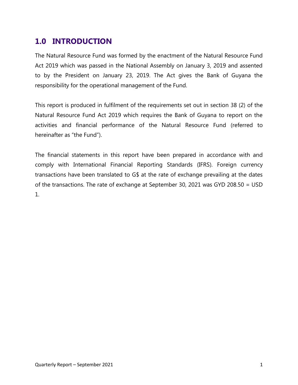#### <span id="page-2-0"></span>**1.0 INTRODUCTION**

The Natural Resource Fund was formed by the enactment of the Natural Resource Fund Act 2019 which was passed in the National Assembly on January 3, 2019 and assented to by the President on January 23, 2019. The Act gives the Bank of Guyana the responsibility for the operational management of the Fund.

This report is produced in fulfilment of the requirements set out in section 38 (2) of the Natural Resource Fund Act 2019 which requires the Bank of Guyana to report on the activities and financial performance of the Natural Resource Fund (referred to hereinafter as "the Fund").

The financial statements in this report have been prepared in accordance with and comply with International Financial Reporting Standards (IFRS). Foreign currency transactions have been translated to G\$ at the rate of exchange prevailing at the dates of the transactions. The rate of exchange at September 30, 2021 was GYD 208.50 = USD 1.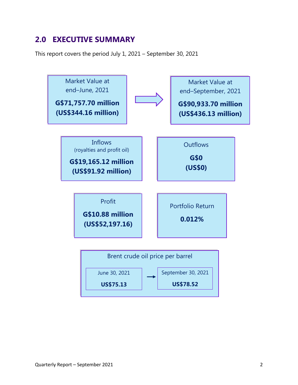## <span id="page-3-0"></span>**2.0 EXECUTIVE SUMMARY**

This report covers the period July 1, 2021 – September 30, 2021

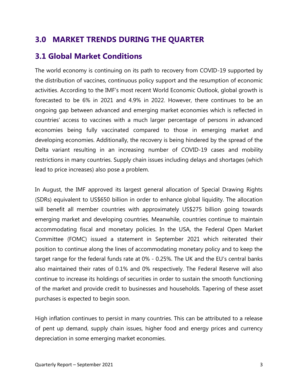## <span id="page-4-0"></span>**3.0 MARKET TRENDS DURING THE QUARTER**

## <span id="page-4-1"></span>**3.1 Global Market Conditions**

The world economy is continuing on its path to recovery from COVID-19 supported by the distribution of vaccines, continuous policy support and the resumption of economic activities. According to the IMF's most recent World Economic Outlook, global growth is forecasted to be 6% in 2021 and 4.9% in 2022. However, there continues to be an ongoing gap between advanced and emerging market economies which is reflected in countries' access to vaccines with a much larger percentage of persons in advanced economies being fully vaccinated compared to those in emerging market and developing economies. Additionally, the recovery is being hindered by the spread of the Delta variant resulting in an increasing number of COVID-19 cases and mobility restrictions in many countries. Supply chain issues including delays and shortages (which lead to price increases) also pose a problem.

In August, the IMF approved its largest general allocation of Special Drawing Rights (SDRs) equivalent to US\$650 billion in order to enhance global liquidity. The allocation will benefit all member countries with approximately US\$275 billion going towards emerging market and developing countries. Meanwhile, countries continue to maintain accommodating fiscal and monetary policies. In the USA, the Federal Open Market Committee (FOMC) issued a statement in September 2021 which reiterated their position to continue along the lines of accommodating monetary policy and to keep the target range for the federal funds rate at 0% - 0.25%. The UK and the EU's central banks also maintained their rates of 0.1% and 0% respectively. The Federal Reserve will also continue to increase its holdings of securities in order to sustain the smooth functioning of the market and provide credit to businesses and households. Tapering of these asset purchases is expected to begin soon.

High inflation continues to persist in many countries. This can be attributed to a release of pent up demand, supply chain issues, higher food and energy prices and currency depreciation in some emerging market economies.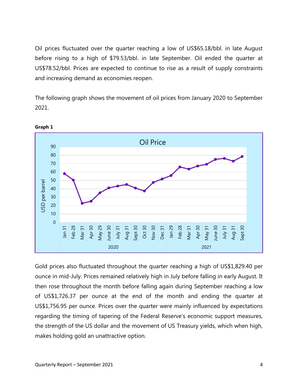Oil prices fluctuated over the quarter reaching a low of US\$65.18/bbl. in late August before rising to a high of \$79.53/bbl. in late September. Oil ended the quarter at US\$78.52/bbl. Prices are expected to continue to rise as a result of supply constraints and increasing demand as economies reopen.

The following graph shows the movement of oil prices from January 2020 to September 2021.



**Graph 1**

Gold prices also fluctuated throughout the quarter reaching a high of US\$1,829.40 per ounce in mid-July. Prices remained relatively high in July before falling in early August. It then rose throughout the month before falling again during September reaching a low of US\$1,726.37 per ounce at the end of the month and ending the quarter at US\$1,756.95 per ounce. Prices over the quarter were mainly influenced by expectations regarding the timing of tapering of the Federal Reserve's economic support measures, the strength of the US dollar and the movement of US Treasury yields, which when high, makes holding gold an unattractive option.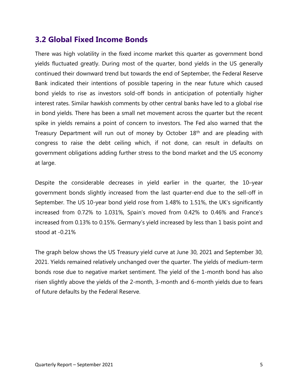#### <span id="page-6-0"></span>**3.2 Global Fixed Income Bonds**

There was high volatility in the fixed income market this quarter as government bond yields fluctuated greatly. During most of the quarter, bond yields in the US generally continued their downward trend but towards the end of September, the Federal Reserve Bank indicated their intentions of possible tapering in the near future which caused bond yields to rise as investors sold-off bonds in anticipation of potentially higher interest rates. Similar hawkish comments by other central banks have led to a global rise in bond yields. There has been a small net movement across the quarter but the recent spike in yields remains a point of concern to investors. The Fed also warned that the Treasury Department will run out of money by October 18<sup>th</sup> and are pleading with congress to raise the debt ceiling which, if not done, can result in defaults on government obligations adding further stress to the bond market and the US economy at large.

Despite the considerable decreases in yield earlier in the quarter, the 10–year government bonds slightly increased from the last quarter-end due to the sell-off in September. The US 10-year bond yield rose from 1.48% to 1.51%, the UK's significantly increased from 0.72% to 1.031%, Spain's moved from 0.42% to 0.46% and France's increased from 0.13% to 0.15%. Germany's yield increased by less than 1 basis point and stood at -0.21%

The graph below shows the US Treasury yield curve at June 30, 2021 and September 30, 2021. Yields remained relatively unchanged over the quarter. The yields of medium-term bonds rose due to negative market sentiment. The yield of the 1-month bond has also risen slightly above the yields of the 2-month, 3-month and 6-month yields due to fears of future defaults by the Federal Reserve.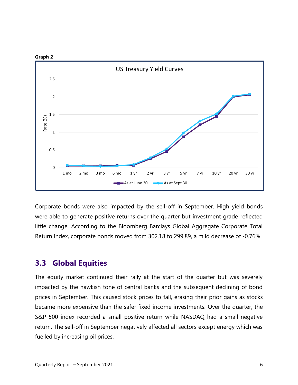

Corporate bonds were also impacted by the sell-off in September. High yield bonds were able to generate positive returns over the quarter but investment grade reflected little change. According to the Bloomberg Barclays Global Aggregate Corporate Total Return Index, corporate bonds moved from 302.18 to 299.89, a mild decrease of -0.76%.

#### <span id="page-7-0"></span>**3.3 Global Equities**

The equity market continued their rally at the start of the quarter but was severely impacted by the hawkish tone of central banks and the subsequent declining of bond prices in September. This caused stock prices to fall, erasing their prior gains as stocks became more expensive than the safer fixed income investments. Over the quarter, the S&P 500 index recorded a small positive return while NASDAQ had a small negative return. The sell-off in September negatively affected all sectors except energy which was fuelled by increasing oil prices.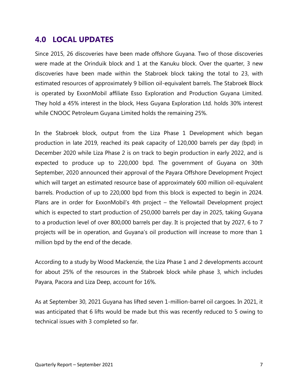#### <span id="page-8-0"></span>**4.0 LOCAL UPDATES**

Since 2015, 26 discoveries have been made offshore Guyana. Two of those discoveries were made at the Orinduik block and 1 at the Kanuku block. Over the quarter, 3 new discoveries have been made within the Stabroek block taking the total to 23, with estimated resources of approximately 9 billion oil-equivalent barrels. The Stabroek Block is operated by ExxonMobil affiliate Esso Exploration and Production Guyana Limited. They hold a 45% interest in the block, Hess Guyana Exploration Ltd. holds 30% interest while CNOOC Petroleum Guyana Limited holds the remaining 25%.

In the Stabroek block, output from the Liza Phase 1 Development which began production in late 2019, reached its peak capacity of 120,000 barrels per day (bpd) in December 2020 while Liza Phase 2 is on track to begin production in early 2022, and is expected to produce up to 220,000 bpd. The government of Guyana on 30th September, 2020 announced their approval of the Payara Offshore Development Project which will target an estimated resource base of approximately 600 million oil-equivalent barrels. Production of up to 220,000 bpd from this block is expected to begin in 2024. Plans are in order for ExxonMobil's 4th project – the Yellowtail Development project which is expected to start production of 250,000 barrels per day in 2025, taking Guyana to a production level of over 800,000 barrels per day. It is projected that by 2027, 6 to 7 projects will be in operation, and Guyana's oil production will increase to more than 1 million bpd by the end of the decade.

According to a study by Wood Mackenzie, the Liza Phase 1 and 2 developments account for about 25% of the resources in the Stabroek block while phase 3, which includes Payara, Pacora and Liza Deep, account for 16%.

As at September 30, 2021 Guyana has lifted seven 1-million-barrel oil cargoes. In 2021, it was anticipated that 6 lifts would be made but this was recently reduced to 5 owing to technical issues with 3 completed so far.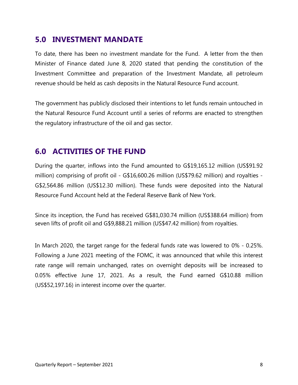#### <span id="page-9-0"></span>**5.0 INVESTMENT MANDATE**

To date, there has been no investment mandate for the Fund. A letter from the then Minister of Finance dated June 8, 2020 stated that pending the constitution of the Investment Committee and preparation of the Investment Mandate, all petroleum revenue should be held as cash deposits in the Natural Resource Fund account.

The government has publicly disclosed their intentions to let funds remain untouched in the Natural Resource Fund Account until a series of reforms are enacted to strengthen the regulatory infrastructure of the oil and gas sector.

#### <span id="page-9-1"></span>**6.0 ACTIVITIES OF THE FUND**

During the quarter, inflows into the Fund amounted to G\$19,165.12 million (US\$91.92 million) comprising of profit oil - G\$16,600.26 million (US\$79.62 million) and royalties - G\$2,564.86 million (US\$12.30 million). These funds were deposited into the Natural Resource Fund Account held at the Federal Reserve Bank of New York.

Since its inception, the Fund has received G\$81,030.74 million (US\$388.64 million) from seven lifts of profit oil and G\$9,888.21 million (US\$47.42 million) from royalties.

In March 2020, the target range for the federal funds rate was lowered to 0% - 0.25%. Following a June 2021 meeting of the FOMC, it was announced that while this interest rate range will remain unchanged, rates on overnight deposits will be increased to 0.05% effective June 17, 2021. As a result, the Fund earned G\$10.88 million (US\$52,197.16) in interest income over the quarter.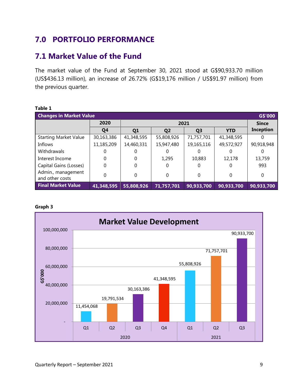## <span id="page-10-0"></span>**7.0 PORTFOLIO PERFORMANCE**

#### <span id="page-10-1"></span>**7.1 Market Value of the Fund**

The market value of the Fund at September 30, 2021 stood at G\$90,933.70 million (US\$436.13 million), an increase of 26.72% (G\$19,176 million / US\$91.97 million) from the previous quarter.

| <b>Changes in Market Value</b><br>G\$'000 |                |                |                |                |            |                  |  |
|-------------------------------------------|----------------|----------------|----------------|----------------|------------|------------------|--|
|                                           | 2020           |                | 2021           |                |            |                  |  |
|                                           | Q <sub>4</sub> | Q <sub>1</sub> | Q <sub>2</sub> | Q <sub>3</sub> | <b>YTD</b> | <b>Inception</b> |  |
| <b>Starting Market Value</b>              | 30,163,386     | 41,348,595     | 55,808,926     | 71,757,701     | 41,348,595 |                  |  |
| Inflows                                   | 11,185,209     | 14,460,331     | 15,947,480     | 19,165,116     | 49,572,927 | 90,918,948       |  |
| <b>Withdrawals</b>                        |                |                |                | 0              |            |                  |  |
| Interest Income                           | 0              | 0              | 1,295          | 10,883         | 12,178     | 13,759           |  |
| Capital Gains (Losses)                    | 0              | 0              |                | 0              | 0          | 993              |  |
| Admin., management<br>and other costs     | 0              | 0              | $\Omega$       | 0              | 0          | 0                |  |
| <b>Final Market Value</b>                 | 41,348,595     | 55,808,926     | 71,757,701     | 90,933,700     | 90,933,700 | 90,933,700       |  |

#### **Table 1**

#### **Graph 3**

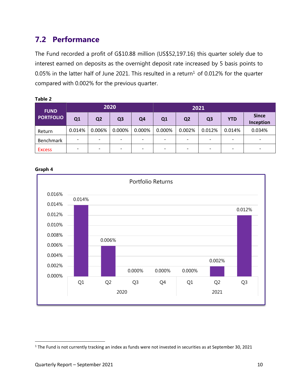## <span id="page-11-0"></span>**7.2 Performance**

The Fund recorded a profit of G\$10.88 million (US\$52,197.16) this quarter solely due to interest earned on deposits as the overnight deposit rate increased by 5 basis points to 0.05% in the latter half of June 2021. This resulted in a return<sup>1</sup> of 0.012% for the quarter compared with 0.002% for the previous quarter.

| Table 2          |                          |                          |                          |                          |                          |                          |                          |                          |                           |
|------------------|--------------------------|--------------------------|--------------------------|--------------------------|--------------------------|--------------------------|--------------------------|--------------------------|---------------------------|
| <b>FUND</b>      | 2020                     |                          |                          |                          | 2021                     |                          |                          |                          |                           |
| <b>PORTFOLIO</b> | Q1                       | Q <sub>2</sub>           | Q <sub>3</sub>           | Q <sub>4</sub>           | Q <sub>1</sub>           | Q <sub>2</sub>           | Q <sub>3</sub>           | <b>YTD</b>               | <b>Since</b><br>Inception |
| Return           | 0.014%                   | 0.006%                   | 0.000%                   | 0.000%                   | 0.000%                   | 0.002%                   | 0.012%                   | 0.014%                   | 0.034%                    |
| <b>Benchmark</b> | $\overline{\phantom{a}}$ |                          | $\overline{\phantom{0}}$ | $\overline{\phantom{a}}$ | $\overline{\phantom{a}}$ | $\overline{\phantom{a}}$ | $\overline{\phantom{a}}$ | $\overline{\phantom{a}}$ |                           |
| <b>Excess</b>    | $\overline{\phantom{a}}$ | $\overline{\phantom{0}}$ | $\overline{\phantom{0}}$ | $\overline{\phantom{a}}$ | -                        | $\overline{\phantom{a}}$ | -                        | $\overline{\phantom{a}}$ | $\overline{\phantom{0}}$  |





 $\overline{\phantom{a}}$ 

<sup>&</sup>lt;sup>1</sup> The Fund is not currently tracking an index as funds were not invested in securities as at September 30, 2021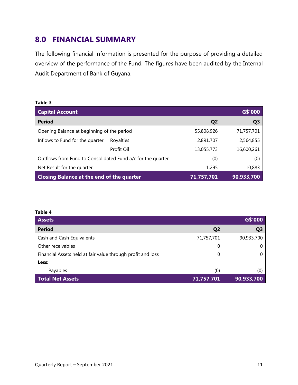#### <span id="page-12-0"></span>**8.0 FINANCIAL SUMMARY**

The following financial information is presented for the purpose of providing a detailed overview of the performance of the Fund. The figures have been audited by the Internal Audit Department of Bank of Guyana.

#### **Table 3**

| <b>Capital Account</b>                                      |                | G\$'000        |
|-------------------------------------------------------------|----------------|----------------|
| <b>Period</b>                                               | Q <sub>2</sub> | Q <sub>3</sub> |
| Opening Balance at beginning of the period                  | 55,808,926     | 71,757,701     |
| Inflows to Fund for the quarter:<br>Royalties               | 2,891,707      | 2,564,855      |
| Profit Oil                                                  | 13,055,773     | 16,600,261     |
| Outflows from Fund to Consolidated Fund a/c for the quarter | (0)            | (0)            |
| Net Result for the quarter                                  | 1,295          | 10,883         |
| <b>Closing Balance at the end of the quarter</b>            | 71,757,701     | 90,933,700     |

#### **Table 4**

| <b>Assets</b>                                               |                | G\$'000        |
|-------------------------------------------------------------|----------------|----------------|
| <b>Period</b>                                               | Q <sub>2</sub> | Q <sub>3</sub> |
| Cash and Cash Equivalents                                   | 71,757,701     | 90,933,700     |
| Other receivables                                           | 0              |                |
| Financial Assets held at fair value through profit and loss | 0              |                |
| Less:                                                       |                |                |
| Payables                                                    | (0)            | (0)            |
| <b>Total Net Assets</b>                                     | 71,757,701     | 90,933,700     |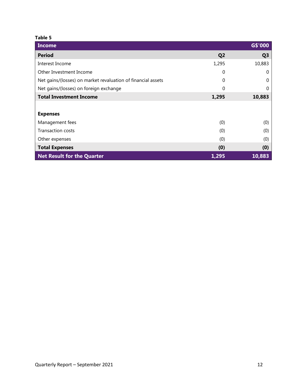#### **Table 5**

| <b>Income</b>                                                |                | G\$'000        |
|--------------------------------------------------------------|----------------|----------------|
| <b>Period</b>                                                | Q <sub>2</sub> | Q <sub>3</sub> |
| Interest Income                                              | 1,295          | 10,883         |
| Other Investment Income                                      | 0              | O              |
| Net gains/(losses) on market revaluation of financial assets | 0              | 0              |
| Net gains/(losses) on foreign exchange                       | 0              | $\mathcal{O}$  |
| <b>Total Investment Income</b>                               | 1,295          | 10,883         |
|                                                              |                |                |
| <b>Expenses</b>                                              |                |                |
| Management fees                                              | (0)            | (0)            |
| <b>Transaction costs</b>                                     | (0)            | (0)            |
| Other expenses                                               | (0)            | (0)            |
| <b>Total Expenses</b>                                        | (0)            | (0)            |
| <b>Net Result for the Quarter</b>                            | 1,295          | 10,883         |